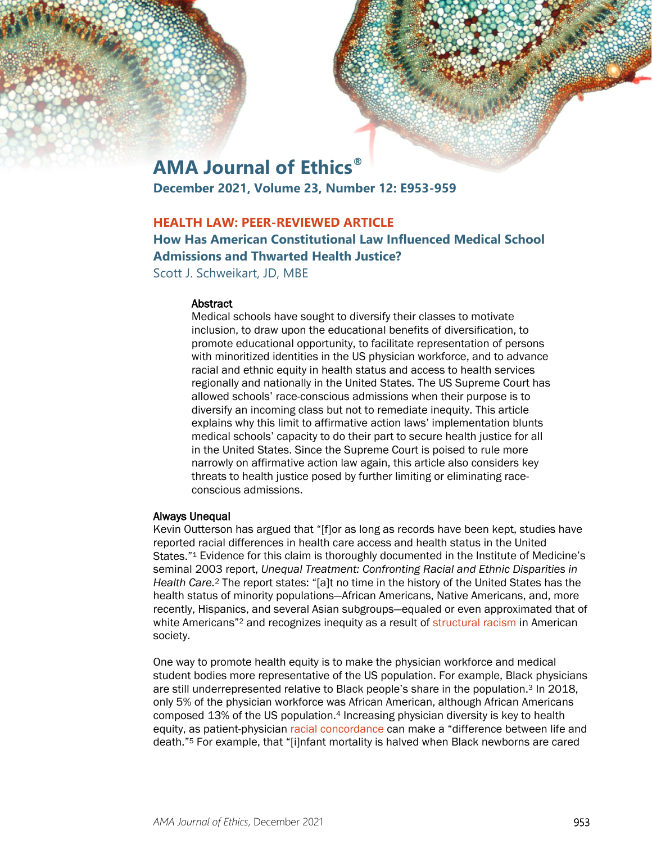# **AMA Journal of Ethics®**

**December 2021, Volume 23, Number 12: E953-959**

# **HEALTH LAW: PEER-REVIEWED ARTICLE**

# **How Has American Constitutional Law Influenced Medical School Admissions and Thwarted Health Justice?**

Scott J. Schweikart, JD, MBE

#### Abstract

Medical schools have sought to diversify their classes to motivate inclusion, to draw upon the educational benefits of diversification, to promote educational opportunity, to facilitate representation of persons with minoritized identities in the US physician workforce, and to advance racial and ethnic equity in health status and access to health services regionally and nationally in the United States. The US Supreme Court has allowed schools' race-conscious admissions when their purpose is to diversify an incoming class but not to remediate inequity. This article explains why this limit to affirmative action laws' implementation blunts medical schools' capacity to do their part to secure health justice for all in the United States. Since the Supreme Court is poised to rule more narrowly on affirmative action law again, this article also considers key threats to health justice posed by further limiting or eliminating raceconscious admissions.

#### Always Unequal

Kevin Outterson has argued that "[f]or as long as records have been kept, studies have reported racial differences in health care access and health status in the United States."1 Evidence for this claim is thoroughly documented in the Institute of Medicine's seminal 2003 report, *Unequal Treatment: Confronting Racial and Ethnic Disparities in Health Care.*<sup>2</sup> The report states: "[a]t no time in the history of the United States has the health status of minority populations—African Americans, Native Americans, and, more recently, Hispanics, and several Asian subgroups—equaled or even approximated that of white Americans"<sup>2</sup> and recognizes inequity as a result of [structural racism](https://journalofethics.ama-assn.org/article/structural-competency-meets-structural-racism-race-politics-and-structure-medical-knowledge/2014-09) in American society.

One way to promote health equity is to make the physician workforce and medical student bodies more representative of the US population. For example, Black physicians are still underrepresented relative to Black people's share in the population.3 In 2018, only 5% of the physician workforce was African American, although African Americans composed 13% of the US population.4 Increasing physician diversity is key to health equity, as patient-physician [racial concordance](https://journalofethics.ama-assn.org/article/disentangling-evidence-and-preference-patient-clinician-concordance-discussions/2019-06) can make a "difference between life and death."5 For example, that "[i]nfant mortality is halved when Black newborns are cared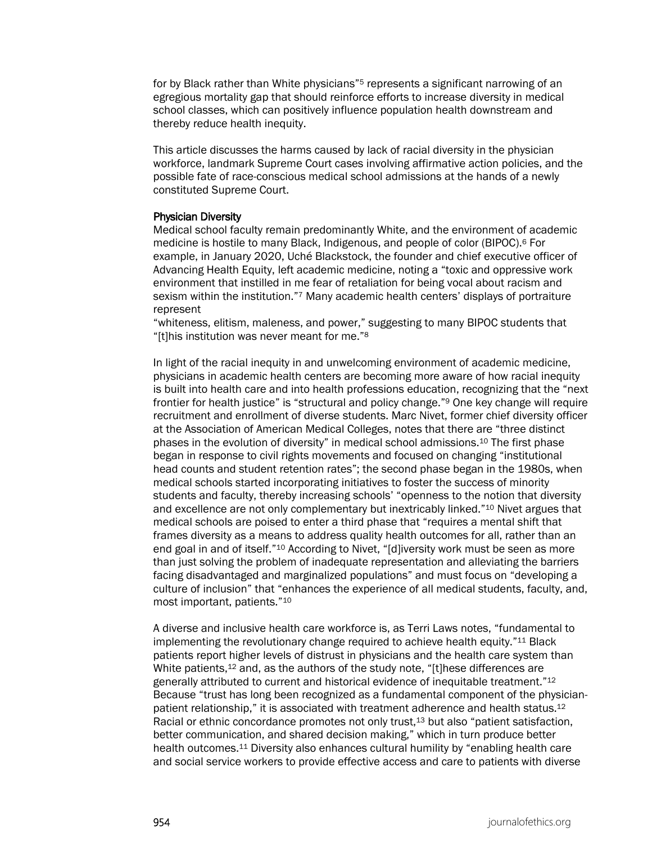for by Black rather than White physicians"<sup>5</sup> represents a significant narrowing of an egregious mortality gap that should reinforce efforts to increase diversity in medical school classes, which can positively influence population health downstream and thereby reduce health inequity.

This article discusses the harms caused by lack of racial diversity in the physician workforce, landmark Supreme Court cases involving affirmative action policies, and the possible fate of race-conscious medical school admissions at the hands of a newly constituted Supreme Court.

#### Physician Diversity

Medical school faculty remain predominantly White, and the environment of academic medicine is hostile to many Black, Indigenous, and people of color (BIPOC).<sup>6</sup> For example, in January 2020, Uché Blackstock, the founder and chief executive officer of Advancing Health Equity, left academic medicine, noting a "toxic and oppressive work environment that instilled in me fear of retaliation for being vocal about racism and sexism within the institution."<sup>7</sup> Many academic health centers' displays of portraiture represent

"whiteness, elitism, maleness, and power," suggesting to many BIPOC students that "[t]his institution was never meant for me."<sup>8</sup>

In light of the racial inequity in and unwelcoming environment of academic medicine, physicians in academic health centers are becoming more aware of how racial inequity is built into health care and into health professions education, recognizing that the "next frontier for health justice" is "structural and policy change."<sup>9</sup> One key change will require recruitment and enrollment of diverse students. Marc Nivet, former chief diversity officer at the Association of American Medical Colleges, notes that there are "three distinct phases in the evolution of diversity" in medical school admissions.<sup>10</sup> The first phase began in response to civil rights movements and focused on changing "institutional head counts and student retention rates"; the second phase began in the 1980s, when medical schools started incorporating initiatives to foster the success of minority students and faculty, thereby increasing schools' "openness to the notion that diversity and excellence are not only complementary but inextricably linked."<sup>10</sup> Nivet argues that medical schools are poised to enter a third phase that "requires a mental shift that frames diversity as a means to address quality health outcomes for all, rather than an end goal in and of itself."<sup>10</sup> According to Nivet, "[d]iversity work must be seen as more than just solving the problem of inadequate representation and alleviating the barriers facing disadvantaged and marginalized populations" and must focus on "developing a culture of inclusion" that "enhances the experience of all medical students, faculty, and, most important, patients." 10

A diverse and inclusive health care workforce is, as Terri Laws notes, "fundamental to implementing the revolutionary change required to achieve health equity."<sup>11</sup> Black patients report higher levels of distrust in physicians and the health care system than White patients,<sup>12</sup> and, as the authors of the study note, "[t]hese differences are generally attributed to current and historical evidence of inequitable treatment."<sup>12</sup> Because "trust has long been recognized as a fundamental component of the physicianpatient relationship," it is associated with treatment adherence and health status.<sup>12</sup> Racial or ethnic concordance promotes not only trust,<sup>13</sup> but also "patient satisfaction, better communication, and shared decision making," which in turn produce better health outcomes.<sup>11</sup> Diversity also enhances cultural humility by "enabling health care and social service workers to provide effective access and care to patients with diverse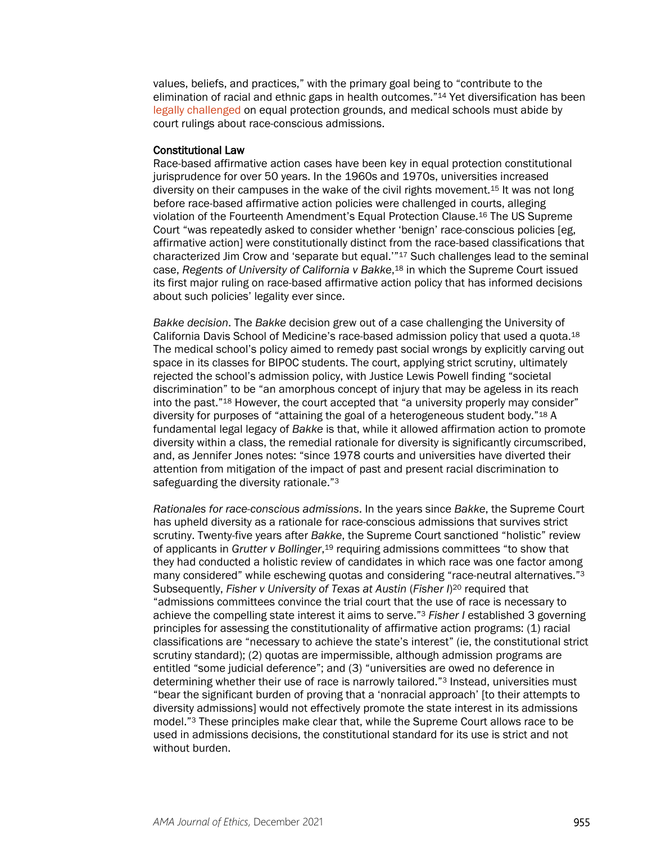values, beliefs, and practices," with the primary goal being to "contribute to the elimination of racial and ethnic gaps in health outcomes."14 Yet diversification has been [legally challenged](https://journalofethics.ama-assn.org/article/questioning-rationale-affirmative-action/2014-06) on equal protection grounds, and medical schools must abide by court rulings about race-conscious admissions.

#### Constitutional Law

Race-based affirmative action cases have been key in equal protection constitutional jurisprudence for over 50 years. In the 1960s and 1970s, universities increased diversity on their campuses in the wake of the civil rights movement.15 It was not long before race-based affirmative action policies were challenged in courts, alleging violation of the Fourteenth Amendment's Equal Protection Clause.16 The US Supreme Court "was repeatedly asked to consider whether 'benign' race-conscious policies [eg, affirmative action] were constitutionally distinct from the race-based classifications that characterized Jim Crow and 'separate but equal.'"17 Such challenges lead to the seminal case, *Regents of University of California v Bakke*,18 in which the Supreme Court issued its first major ruling on race-based affirmative action policy that has informed decisions about such policies' legality ever since.

*Bakke decision*. The *Bakke* decision grew out of a case challenging the University of California Davis School of Medicine's race-based admission policy that used a quota.18 The medical school's policy aimed to remedy past social wrongs by explicitly carving out space in its classes for BIPOC students. The court, applying strict scrutiny, ultimately rejected the school's admission policy, with Justice Lewis Powell finding "societal discrimination" to be "an amorphous concept of injury that may be ageless in its reach into the past."18 However, the court accepted that "a university properly may consider" diversity for purposes of "attaining the goal of a heterogeneous student body."18 A fundamental legal legacy of *Bakke* is that, while it allowed affirmation action to promote diversity within a class, the remedial rationale for diversity is significantly circumscribed, and, as Jennifer Jones notes: "since 1978 courts and universities have diverted their attention from mitigation of the impact of past and present racial discrimination to safeguarding the diversity rationale."3

*Rationales for race-conscious admissions*. In the years since *Bakke*, the Supreme Court has upheld diversity as a rationale for race-conscious admissions that survives strict scrutiny. Twenty-five years after *Bakke*, the Supreme Court sanctioned "holistic" review of applicants in *Grutter v Bollinger*,19 requiring admissions committees "to show that they had conducted a holistic review of candidates in which race was one factor among many considered" while eschewing quotas and considering "race-neutral alternatives."<sup>3</sup> Subsequently, *Fisher v University of Texas at Austin* (*Fisher I*)<sup>20</sup> required that "admissions committees convince the trial court that the use of race is necessary to achieve the compelling state interest it aims to serve."3 *Fisher I* established 3 governing principles for assessing the constitutionality of affirmative action programs: (1) racial classifications are "necessary to achieve the state's interest" (ie, the constitutional strict scrutiny standard); (2) quotas are impermissible, although admission programs are entitled "some judicial deference"; and (3) "universities are owed no deference in determining whether their use of race is narrowly tailored."<sup>3</sup> Instead, universities must "bear the significant burden of proving that a 'nonracial approach' [to their attempts to diversity admissions] would not effectively promote the state interest in its admissions model."3 These principles make clear that, while the Supreme Court allows race to be used in admissions decisions, the constitutional standard for its use is strict and not without burden.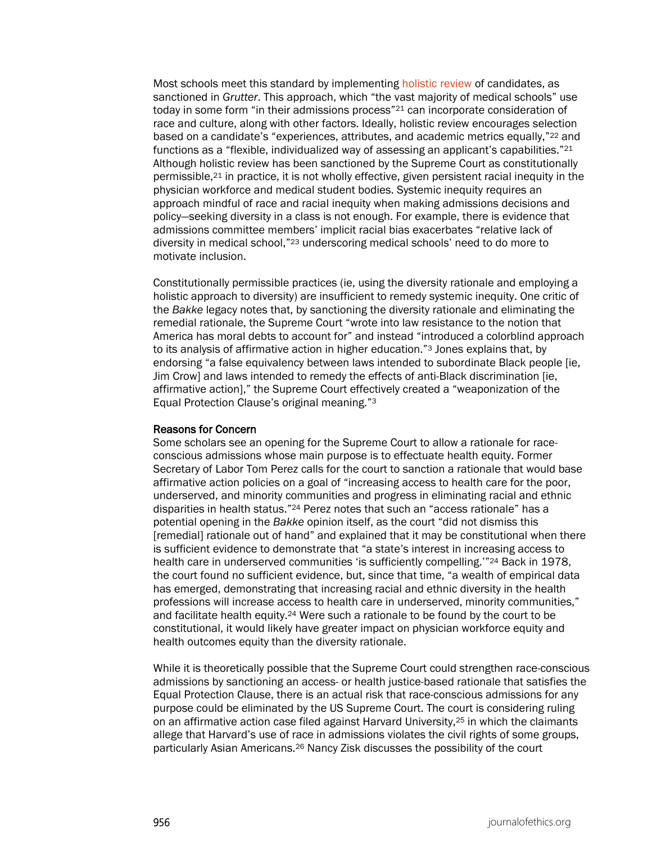Most schools meet this standard by implementing [holistic review](https://journalofethics.ama-assn.org/article/making-merit-just-medical-school-admissions/2021-03) of candidates, as sanctioned in *Grutter*. This approach, which "the vast majority of medical schools" use today in some form "in their admissions process"21 can incorporate consideration of race and culture, along with other factors. Ideally, holistic review encourages selection based on a candidate's "experiences, attributes, and academic metrics equally,"22 and functions as a "flexible, individualized way of assessing an applicant's capabilities."21 Although holistic review has been sanctioned by the Supreme Court as constitutionally permissible,21 in practice, it is not wholly effective, given persistent racial inequity in the physician workforce and medical student bodies. Systemic inequity requires an approach mindful of race and racial inequity when making admissions decisions and policy—seeking diversity in a class is not enough. For example, there is evidence that admissions committee members' implicit racial bias exacerbates "relative lack of diversity in medical school,"23 underscoring medical schools' need to do more to motivate inclusion.

Constitutionally permissible practices (ie, using the diversity rationale and employing a holistic approach to diversity) are insufficient to remedy systemic inequity. One critic of the *Bakke* legacy notes that, by sanctioning the diversity rationale and eliminating the remedial rationale, the Supreme Court "wrote into law resistance to the notion that America has moral debts to account for" and instead "introduced a colorblind approach to its analysis of affirmative action in higher education."3 Jones explains that, by endorsing "a false equivalency between laws intended to subordinate Black people [ie, Jim Crow] and laws intended to remedy the effects of anti-Black discrimination [ie, affirmative action]," the Supreme Court effectively created a "weaponization of the Equal Protection Clause's original meaning."3

### Reasons for Concern

Some scholars see an opening for the Supreme Court to allow a rationale for raceconscious admissions whose main purpose is to effectuate health equity. Former Secretary of Labor Tom Perez calls for the court to sanction a rationale that would base affirmative action policies on a goal of "increasing access to health care for the poor, underserved, and minority communities and progress in eliminating racial and ethnic disparities in health status."24 Perez notes that such an "access rationale" has a potential opening in the *Bakke* opinion itself, as the court "did not dismiss this [remedial] rationale out of hand" and explained that it may be constitutional when there is sufficient evidence to demonstrate that "a state's interest in increasing access to health care in underserved communities 'is sufficiently compelling.'"<sup>24</sup> Back in 1978, the court found no sufficient evidence, but, since that time, "a wealth of empirical data has emerged, demonstrating that increasing racial and ethnic diversity in the health professions will increase access to health care in underserved, minority communities," and facilitate health equity.24 Were such a rationale to be found by the court to be constitutional, it would likely have greater impact on physician workforce equity and health outcomes equity than the diversity rationale.

While it is theoretically possible that the Supreme Court could strengthen race-conscious admissions by sanctioning an access- or health justice-based rationale that satisfies the Equal Protection Clause, there is an actual risk that race-conscious admissions for any purpose could be eliminated by the US Supreme Court. The court is considering ruling on an affirmative action case filed against Harvard University,<sup>25</sup> in which the claimants allege that Harvard's use of race in admissions violates the civil rights of some groups, particularly Asian Americans.26 Nancy Zisk discusses the possibility of the court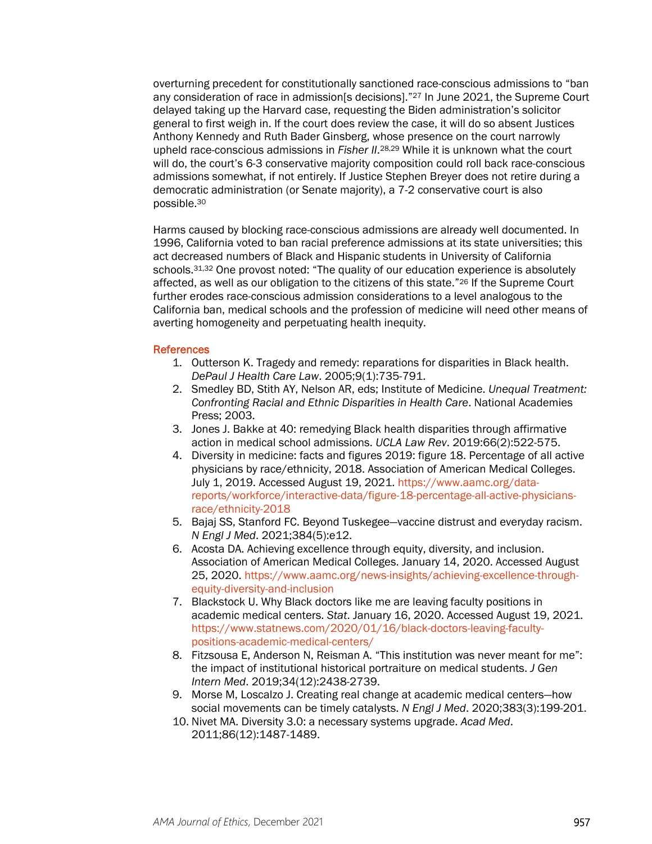overturning precedent for constitutionally sanctioned race-conscious admissions to "ban any consideration of race in admission[s decisions]."<sup>27</sup> In June 2021, the Supreme Court delayed taking up the Harvard case, requesting the Biden administration's solicitor general to first weigh in. If the court does review the case, it will do so absent Justices Anthony Kennedy and Ruth Bader Ginsberg, whose presence on the court narrowly upheld race-conscious admissions in *Fisher II*.28,29 While it is unknown what the court will do, the court's 6-3 conservative majority composition could roll back race-conscious admissions somewhat, if not entirely. If Justice Stephen Breyer does not retire during a democratic administration (or Senate majority), a 7-2 conservative court is also possible.30

Harms caused by blocking race-conscious admissions are already well documented. In 1996, California voted to ban racial preference admissions at its state universities; this act decreased numbers of Black and Hispanic students in University of California schools.<sup>31,32</sup> One provost noted: "The quality of our education experience is absolutely affected, as well as our obligation to the citizens of this state."26 If the Supreme Court further erodes race-conscious admission considerations to a level analogous to the California ban, medical schools and the profession of medicine will need other means of averting homogeneity and perpetuating health inequity.

#### **References**

- 1. Outterson K. Tragedy and remedy: reparations for disparities in Black health. *DePaul J Health Care Law*. 2005;9(1):735-791.
- 2. Smedley BD, Stith AY, Nelson AR, eds; Institute of Medicine. *Unequal Treatment: Confronting Racial and Ethnic Disparities in Health Care*. National Academies Press; 2003.
- 3. Jones J. Bakke at 40: remedying Black health disparities through affirmative action in medical school admissions. *UCLA Law Rev*. 2019:66(2):522-575.
- 4. Diversity in medicine: facts and figures 2019: figure 18. Percentage of all active physicians by race/ethnicity, 2018. Association of American Medical Colleges. July 1, 2019. Accessed August 19, 2021. [https://www.aamc.org/data](https://www.aamc.org/data-reports/workforce/interactive-data/figure-18-percentage-all-active-physicians-race/ethnicity-2018)[reports/workforce/interactive-data/figure-18-percentage-all-active-physicians](https://www.aamc.org/data-reports/workforce/interactive-data/figure-18-percentage-all-active-physicians-race/ethnicity-2018)[race/ethnicity-2018](https://www.aamc.org/data-reports/workforce/interactive-data/figure-18-percentage-all-active-physicians-race/ethnicity-2018)
- 5. Bajaj SS, Stanford FC. Beyond Tuskegee—vaccine distrust and everyday racism. *N Engl J Med*. 2021;384(5):e12.
- 6. Acosta DA. Achieving excellence through equity, diversity, and inclusion. Association of American Medical Colleges. January 14, 2020. Accessed August 25, 2020. [https://www.aamc.org/news-insights/achieving-excellence-through](https://www.aamc.org/news-insights/achieving-excellence-through-equity-diversity-and-inclusion)[equity-diversity-and-inclusion](https://www.aamc.org/news-insights/achieving-excellence-through-equity-diversity-and-inclusion)
- 7. Blackstock U. Why Black doctors like me are leaving faculty positions in academic medical centers. *Stat*. January 16, 2020. Accessed August 19, 2021. [https://www.statnews.com/2020/01/16/black-doctors-leaving-faculty](https://www.statnews.com/2020/01/16/black-doctors-leaving-faculty-positions-academic-medical-centers/)[positions-academic-medical-centers/](https://www.statnews.com/2020/01/16/black-doctors-leaving-faculty-positions-academic-medical-centers/)
- 8. Fitzsousa E, Anderson N, Reisman A. "This institution was never meant for me": the impact of institutional historical portraiture on medical students. *J Gen Intern Med*. 2019;34(12):2438-2739.
- 9. Morse M, Loscalzo J. Creating real change at academic medical centers—how social movements can be timely catalysts. *N Engl J Med*. 2020;383(3):199-201.
- 10. Nivet MA. Diversity 3.0: a necessary systems upgrade. *Acad Med*. 2011;86(12):1487-1489.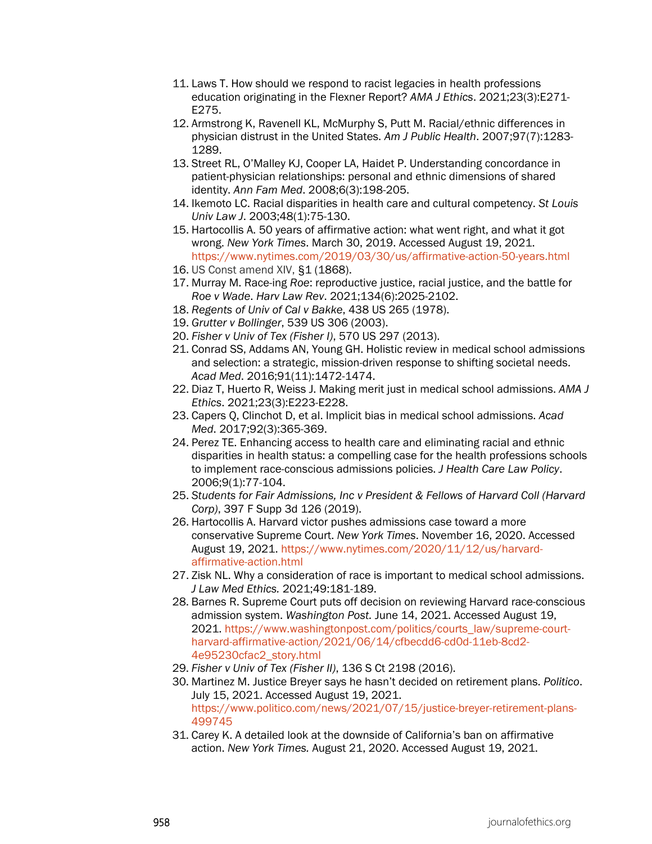- 11. Laws T. How should we respond to racist legacies in health professions education originating in the Flexner Report? *AMA J Ethics*. 2021;23(3):E271- E275.
- 12. Armstrong K, Ravenell KL, McMurphy S, Putt M. Racial/ethnic differences in physician distrust in the United States. *Am J Public Health*. 2007;97(7):1283- 1289.
- 13. Street RL, O'Malley KJ, Cooper LA, Haidet P. Understanding concordance in patient-physician relationships: personal and ethnic dimensions of shared identity. *Ann Fam Med*. 2008;6(3):198-205.
- 14. Ikemoto LC. Racial disparities in health care and cultural competency. *St Louis Univ Law J*. 2003;48(1):75-130.
- 15. Hartocollis A. 50 years of affirmative action: what went right, and what it got wrong. *New York Times*. March 30, 2019. Accessed August 19, 2021. <https://www.nytimes.com/2019/03/30/us/affirmative-action-50-years.html>
- 16. US Const amend XIV, §1 (1868).
- 17. Murray M. Race-ing *Roe*: reproductive justice, racial justice, and the battle for *Roe v Wade*. *Harv Law Rev*. 2021;134(6):2025-2102.
- 18. *Regents of Univ of Cal v Bakke*, 438 US 265 (1978).
- 19. *Grutter v Bollinger*, 539 US 306 (2003).
- 20. *Fisher v Univ of Tex (Fisher I)*, 570 US 297 (2013).
- 21. Conrad SS, Addams AN, Young GH. Holistic review in medical school admissions and selection: a strategic, mission-driven response to shifting societal needs. *Acad Med*. 2016;91(11):1472-1474.
- 22. Diaz T, Huerto R, Weiss J. Making merit just in medical school admissions. *AMA J Ethics*. 2021;23(3):E223-E228.
- 23. Capers Q, Clinchot D, et al. Implicit bias in medical school admissions. *Acad Med*. 2017;92(3):365-369.
- 24. Perez TE. Enhancing access to health care and eliminating racial and ethnic disparities in health status: a compelling case for the health professions schools to implement race-conscious admissions policies. *J Health Care Law Policy*. 2006;9(1):77-104.
- 25. *Students for Fair Admissions, Inc v President & Fellows of Harvard Coll (Harvard Corp)*, 397 F Supp 3d 126 (2019).
- 26. Hartocollis A. Harvard victor pushes admissions case toward a more conservative Supreme Court. *New York Times*. November 16, 2020. Accessed August 19, 2021. [https://www.nytimes.com/2020/11/12/us/harvard](https://www.nytimes.com/2020/11/12/us/harvard-affirmative-action.html)[affirmative-action.html](https://www.nytimes.com/2020/11/12/us/harvard-affirmative-action.html)
- 27. Zisk NL. Why a consideration of race is important to medical school admissions. *J Law Med Ethics.* 2021;49:181-189.
- 28. Barnes R. Supreme Court puts off decision on reviewing Harvard race-conscious admission system. *Washington Post.* June 14, 2021. Accessed August 19, 2021. [https://www.washingtonpost.com/politics/courts\\_law/supreme-court](https://www.washingtonpost.com/politics/courts_law/supreme-court-harvard-affirmative-action/2021/06/14/cfbecdd6-cd0d-11eb-8cd2-4e95230cfac2_story.html)[harvard-affirmative-action/2021/06/14/cfbecdd6-cd0d-11eb-8cd2-](https://www.washingtonpost.com/politics/courts_law/supreme-court-harvard-affirmative-action/2021/06/14/cfbecdd6-cd0d-11eb-8cd2-4e95230cfac2_story.html) [4e95230cfac2\\_story.html](https://www.washingtonpost.com/politics/courts_law/supreme-court-harvard-affirmative-action/2021/06/14/cfbecdd6-cd0d-11eb-8cd2-4e95230cfac2_story.html)
- 29. *Fisher v Univ of Tex (Fisher II)*, 136 S Ct 2198 (2016).
- 30. Martinez M. Justice Breyer says he hasn't decided on retirement plans. *Politico*. July 15, 2021. Accessed August 19, 2021. [https://www.politico.com/news/2021/07/15/justice-breyer-retirement-plans-](https://www.politico.com/news/2021/07/15/justice-breyer-retirement-plans-499745)[499745](https://www.politico.com/news/2021/07/15/justice-breyer-retirement-plans-499745)
- 31. Carey K. A detailed look at the downside of California's ban on affirmative action. *New York Times.* August 21, 2020. Accessed August 19, 2021.